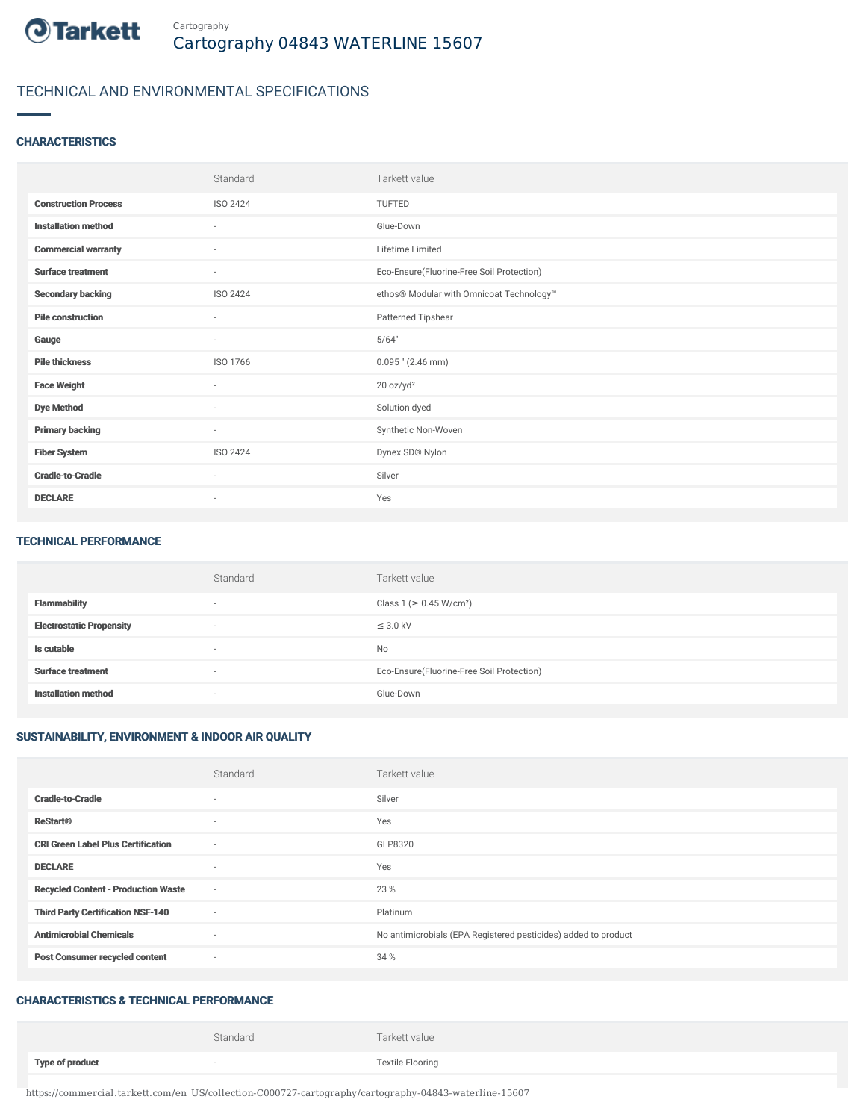

## TECHNICAL AND ENVIRONMENTAL SPECIFICATIONS

### **CHARACTERISTICS**

|                             | Standard                 | Tarkett value                             |
|-----------------------------|--------------------------|-------------------------------------------|
| <b>Construction Process</b> | ISO 2424                 | TUFTED                                    |
| <b>Installation method</b>  | $\sim$                   | Glue-Down                                 |
| <b>Commercial warranty</b>  | $\sim$                   | Lifetime Limited                          |
| <b>Surface treatment</b>    | $\sim$                   | Eco-Ensure(Fluorine-Free Soil Protection) |
| <b>Secondary backing</b>    | ISO 2424                 | ethos® Modular with Omnicoat Technology™  |
| <b>Pile construction</b>    | $\sim$                   | Patterned Tipshear                        |
| Gauge                       | $\sim$                   | 5/64"                                     |
| <b>Pile thickness</b>       | ISO 1766                 | $0.095$ " (2.46 mm)                       |
| <b>Face Weight</b>          | ٠                        | 20 oz/yd <sup>2</sup>                     |
| <b>Dye Method</b>           | $\sim$                   | Solution dyed                             |
| <b>Primary backing</b>      | $\sim$                   | Synthetic Non-Woven                       |
| <b>Fiber System</b>         | ISO 2424                 | Dynex SD® Nylon                           |
| <b>Cradle-to-Cradle</b>     | $\sim$                   | Silver                                    |
| <b>DECLARE</b>              | $\overline{\phantom{a}}$ | Yes                                       |

#### TECHNICAL PERFORMANCE

|                                 | Standard | Tarkett value                             |
|---------------------------------|----------|-------------------------------------------|
| <b>Flammability</b>             | $\sim$   | Class 1 ( $\geq$ 0.45 W/cm <sup>2</sup> ) |
| <b>Electrostatic Propensity</b> | $\sim$   | $\leq$ 3.0 kV                             |
| Is cutable                      | $\sim$   | <b>No</b>                                 |
| <b>Surface treatment</b>        | $\sim$   | Eco-Ensure(Fluorine-Free Soil Protection) |
| <b>Installation method</b>      | $\sim$   | Glue-Down                                 |

### SUSTAINABILITY, ENVIRONMENT & INDOOR AIR QUALITY

|                                            | Standard                 | Tarkett value                                                  |
|--------------------------------------------|--------------------------|----------------------------------------------------------------|
| <b>Cradle-to-Cradle</b>                    | $\overline{\phantom{a}}$ | Silver                                                         |
| <b>ReStart®</b>                            | $\sim$                   | Yes                                                            |
| <b>CRI Green Label Plus Certification</b>  | $\sim$                   | GLP8320                                                        |
| <b>DECLARE</b>                             | $\overline{\phantom{a}}$ | Yes                                                            |
| <b>Recycled Content - Production Waste</b> | $\sim$                   | 23 %                                                           |
| <b>Third Party Certification NSF-140</b>   | $\sim$                   | Platinum                                                       |
| <b>Antimicrobial Chemicals</b>             | $\overline{\phantom{a}}$ | No antimicrobials (EPA Registered pesticides) added to product |
| <b>Post Consumer recycled content</b>      | $\sim$                   | 34 %                                                           |

#### CHARACTERISTICS & TECHNICAL PERFORMANCE

|                        | Standard | Tarkett value           |
|------------------------|----------|-------------------------|
| <b>Type of product</b> |          | <b>Textile Flooring</b> |